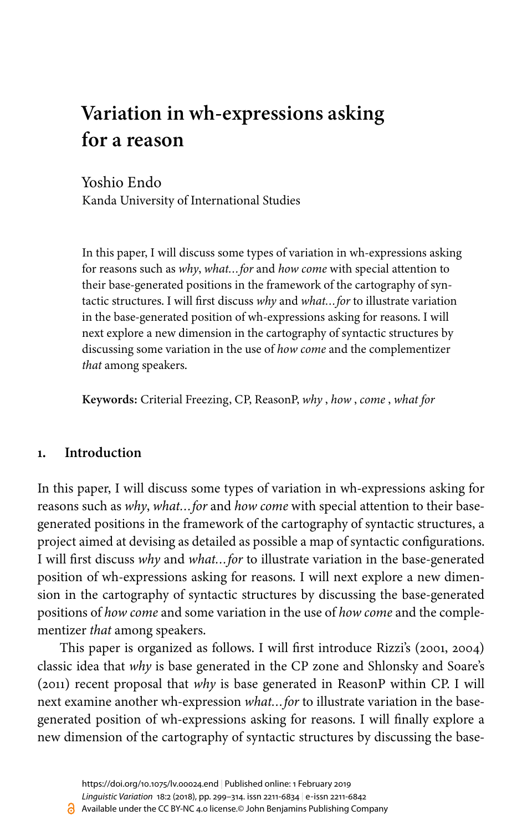# **Variation in wh-expressions asking for a reason**

Yoshio Endo

Kanda University of International Studies

In this paper, I will discuss some types of variation in wh-expressions asking for reasons such as *why*, *what…for* and *how come* with special attention to their base-generated positions in the framework of the cartography of syntactic structures. I will first discuss *why* and *what…for* to illustrate variation in the base-generated position of wh-expressions asking for reasons. I will next explore a new dimension in the cartography of syntactic structures by discussing some variation in the use of *how come* and the complementizer *that* among speakers.

**Keywords:** Criterial Freezing, CP, ReasonP, *why* , *how* , *come* , *what for*

## **1. Introduction**

In this paper, I will discuss some types of variation in wh-expressions asking for reasons such as *why*, *what…for* and *how come* with special attention to their basegenerated positions in the framework of the cartography of syntactic structures, a project aimed at devising as detailed as possible a map of syntactic configurations. I will first discuss *why* and *what…for* to illustrate variation in the base-generated position of wh-expressions asking for reasons. I will next explore a new dimension in the cartography of syntactic structures by discussing the base-generated positions of *how come* and some variation in the use of *how come* and the complementizer *that* among speakers.

This paper is organized as follows. I will first introduce Rizzi's [\(2001](#page-14-0), [2004\)](#page-14-1) classic idea that *why* is base generated in the CP zone and [Shlonsky and Soare's](#page-14-2) [\(2011\)](#page-14-2) recent proposal that *why* is base generated in ReasonP within CP. I will next examine another wh-expression *what…for* to illustrate variation in the basegenerated position of wh-expressions asking for reasons. I will finally explore a new dimension of the cartography of syntactic structures by discussing the base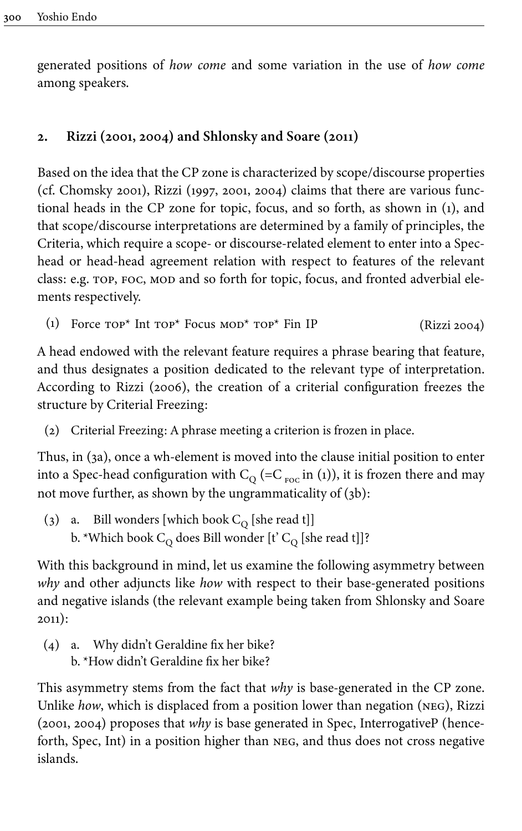generated positions of *how come* and some variation in the use of *how come* among speakers.

## **2. Rizzi [\(2001,](#page-14-0) [2004](#page-14-1)) and [Shlonsky and Soare \(2011\)](#page-14-2)**

Based on the idea that the CP zone is characterized by scope/discourse properties (cf. [Chomsky 2001\)](#page-13-0), Rizzi [\(1997,](#page-14-3) [2001](#page-14-0), [2004\)](#page-14-1) claims that there are various functional heads in the CP zone for topic, focus, and so forth, as shown in ([1](#page-1-0)), and that scope/discourse interpretations are determined by a family of principles, the Criteria, which require a scope- or discourse-related element to enter into a Spechead or head-head agreement relation with respect to features of the relevant class: e.g. top, foc, mod and so forth for topic, focus, and fronted adverbial elements respectively.

(1) Force  $\text{Top}^*$  Int  $\text{Top}^*$  Focus  $\text{MOD}^*$   $\text{Top}^*$  Fin IP ([Rizzi 2004\)](#page-14-1)

<span id="page-1-0"></span>A head endowed with the relevant feature requires a phrase bearing that feature, and thus designates a position dedicated to the relevant type of interpretation. According to [Rizzi \(2006\)](#page-14-4), the creation of a criterial configuration freezes the structure by Criterial Freezing:

(2) Criterial Freezing: A phrase meeting a criterion is frozen in place.

Thus, in ([3a\)](#page-1-1), once a wh-element is moved into the clause initial position to enter into a Spec-head configuration with  $\rm C_{Q}$  (=C  $_{\rm{roc}}$  in ([1](#page-1-0))), it is frozen there and may not move further, as shown by the ungrammaticality of [\(3b](#page-1-1)):

<span id="page-1-1"></span>(3)  $\,$  a.  $\,$  Bill wonders [which book C $_{\rm Q}$  [she read t]] b. \*Which book  $\textsf{C}_{\textup{Q}}$  does Bill wonder [t'  $\textsf{C}_{\textup{Q}}$  [she read t]]?

With this background in mind, let us examine the following asymmetry between *why* and other adjuncts like *how* with respect to their base-generated positions and negative islands (the relevant example being taken from [Shlonsky and Soare](#page-14-2) [2011](#page-14-2)):

(4) a. Why didn't Geraldine fix her bike? b. \*How didn't Geraldine fix her bike?

This asymmetry stems from the fact that *why* is base-generated in the CP zone. Unlike *how*, which is displaced from a position lower than negation (neg), Rizzi [\(2001](#page-14-0), [2004](#page-14-1)) proposes that *why* is base generated in Spec, InterrogativeP (henceforth, Spec, Int) in a position higher than neg, and thus does not cross negative islands.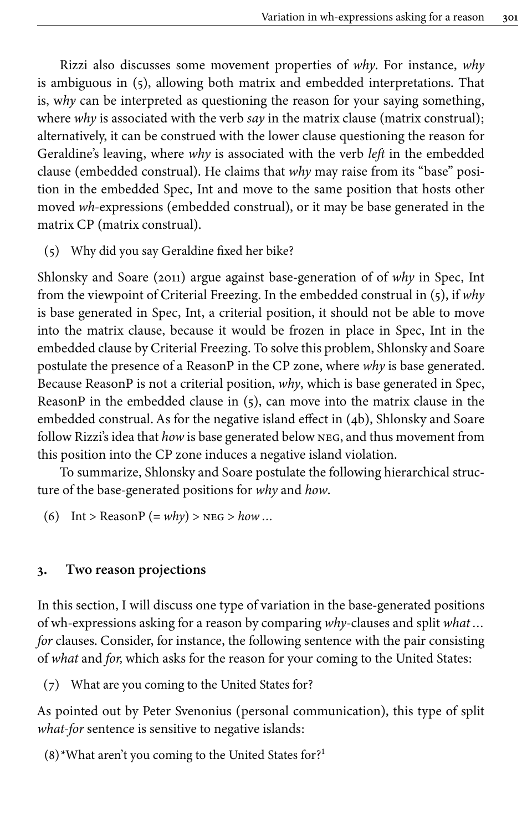Rizzi also discusses some movement properties of *why*. For instance, *why* is ambiguous in ([5\)](#page-2-0), allowing both matrix and embedded interpretations. That is, w*hy* can be interpreted as questioning the reason for your saying something, where *why* is associated with the verb *say* in the matrix clause (matrix construal); alternatively, it can be construed with the lower clause questioning the reason for Geraldine's leaving, where *why* is associated with the verb *left* in the embedded clause (embedded construal). He claims that *why* may raise from its "base" position in the embedded Spec, Int and move to the same position that hosts other moved *wh*-expressions (embedded construal), or it may be base generated in the matrix CP (matrix construal).

(5) Why did you say Geraldine fixed her bike?

<span id="page-2-0"></span>[Shlonsky and Soare \(2011\)](#page-14-2) argue against base-generation of of *why* in Spec, Int from the viewpoint of Criterial Freezing. In the embedded construal in ([5](#page-2-0)), if *why* is base generated in Spec, Int, a criterial position, it should not be able to move into the matrix clause, because it would be frozen in place in Spec, Int in the embedded clause by Criterial Freezing. To solve this problem, Shlonsky and Soare postulate the presence of a ReasonP in the CP zone, where *why* is base generated. Because ReasonP is not a criterial position, *why*, which is base generated in Spec, ReasonP in the embedded clause in ([5\)](#page-2-0), can move into the matrix clause in the embedded construal. As for the negative island effect in ([4b](#page-1-0)), Shlonsky and Soare follow Rizzi's idea that *how* is base generated below neg, and thus movement from this position into the CP zone induces a negative island violation.

To summarize, Shlonsky and Soare postulate the following hierarchical structure of the base-generated positions for *why* and *how*.

(6) Int > Reason  $P = why$  >  $p \leq 5$  *how ...* 

#### **3. Two reason projections**

In this section, I will discuss one type of variation in the base-generated positions of wh-expressions asking for a reason by comparing *why*-clauses and split *what … for* clauses. Consider, for instance, the following sentence with the pair consisting of *what* and *for,* which asks for the reason for your coming to the United States:

(7) What are you coming to the United States for?

As pointed out by Peter Svenonius (personal communication), this type of split *what-for* sentence is sensitive to negative islands:

(8)\*What aren't you coming to the United States for? 1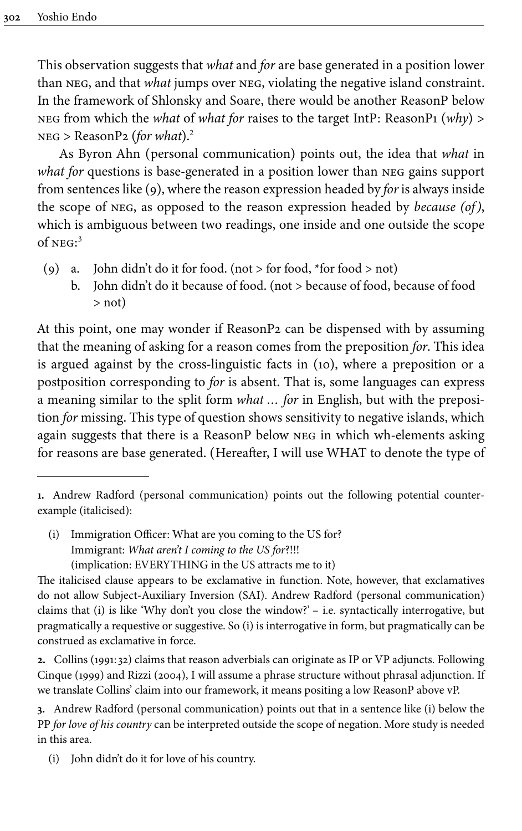This observation suggests that *what* and *for* are base generated in a position lower than neg, and that *what* jumps over neg, violating the negative island constraint. In the framework of Shlonsky and Soare, there would be another ReasonP below neg from which the *what* of *what for* raises to the target IntP: ReasonP1 (*why*) > neg > ReasonP2 (*for what*).<sup>2</sup>

As Byron Ahn (personal communication) points out, the idea that *what* in *what for* questions is base-generated in a position lower than neg gains support from sentences like [\(9](#page-3-0)), where the reason expression headed by *for* is always inside the scope of neg, as opposed to the reason expression headed by *because (of)*, which is ambiguous between two readings, one inside and one outside the scope of neg: 3

- <span id="page-3-0"></span>(9) a. John didn't do it for food. (not  $>$  for food, \*for food  $>$  not)
	- b. John didn't do it because of food. (not > because of food, because of food > not)

At this point, one may wonder if ReasonP2 can be dispensed with by assuming that the meaning of asking for a reason comes from the preposition *for*. This idea is argued against by the cross-linguistic facts in ([10\)](#page-4-0), where a preposition or a postposition corresponding to *for* is absent. That is, some languages can express a meaning similar to the split form *what … for* in English, but with the preposition *for* missing. This type of question shows sensitivity to negative islands, which again suggests that there is a ReasonP below neg in which wh-elements asking for reasons are base generated. (Hereafter, I will use WHAT to denote the type of

(i) Immigration Officer: What are you coming to the US for? Immigrant: *What aren't I coming to the US for*?!!! (implication: EVERYTHING in the US attracts me to it)

**<sup>1.</sup>** Andrew Radford (personal communication) points out the following potential counterexample (italicised):

The italicised clause appears to be exclamative in function. Note, however, that exclamatives do not allow Subject-Auxiliary Inversion (SAI). Andrew Radford (personal communication) claims that (i) is like 'Why don't you close the window?' – i.e. syntactically interrogative, but pragmatically a requestive or suggestive. So (i) is interrogative in form, but pragmatically can be construed as exclamative in force.

**<sup>2.</sup>** Collins ([1991:](#page-13-1) 32) claims that reason adverbials can originate as IP or VP adjuncts. Following [Cinque \(1999\)](#page-13-2) and [Rizzi \(2004\)](#page-14-1), I will assume a phrase structure without phrasal adjunction. If we translate Collins' claim into our framework, it means positing a low ReasonP above vP.

**<sup>3.</sup>** Andrew Radford (personal communication) points out that in a sentence like (i) below the PP *for love of his country* can be interpreted outside the scope of negation. More study is needed in this area.

<sup>(</sup>i) John didn't do it for love of his country.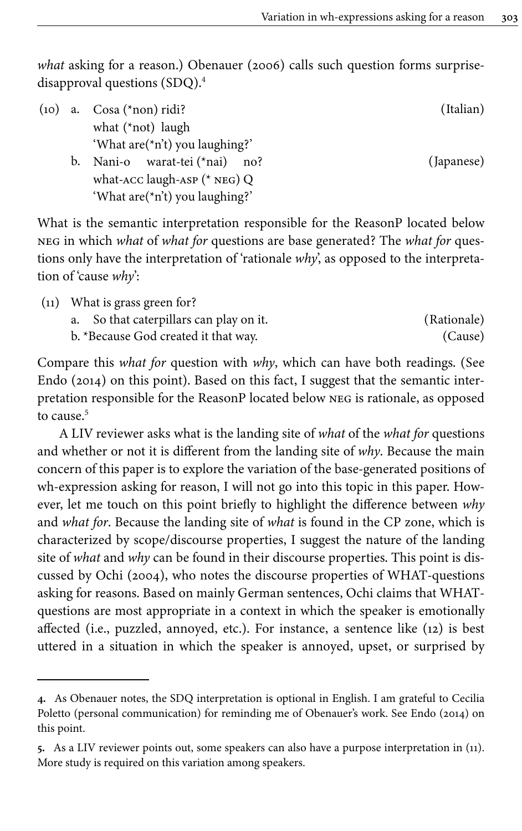*what* asking for a reason.) [Obenauer \(2006\)](#page-14-5) calls such question forms surprisedisapproval questions (SDQ).<sup>4</sup>

<span id="page-4-0"></span>

| (10) |    | a. $Cosa (*non)$ ridi?            | (Italian)  |
|------|----|-----------------------------------|------------|
|      |    | what $(*not)$ laugh               |            |
|      |    | 'What $are$ (*n't) you laughing?' |            |
|      | b. | Nani-o warat-tei (*nai) no?       | (Japanese) |
|      |    | what-ACC laugh-ASP $(*$ NEG) Q    |            |
|      |    | 'What are(*n't) you laughing?'    |            |

What is the semantic interpretation responsible for the ReasonP located below neg in which *what* of *what for* questions are base generated? The *what for* questions only have the interpretation of 'rationale *why*', as opposed to the interpretation of 'cause *why*':

<span id="page-4-1"></span>

| $(11)$ What is grass green for?         |             |
|-----------------------------------------|-------------|
| a. So that caterpillars can play on it. | (Rationale) |
| b. *Because God created it that way.    | (Cause)     |

Compare this *what for* question with *why*, which can have both readings. (See [Endo \(2014\)](#page-14-6) on this point). Based on this fact, I suggest that the semantic interpretation responsible for the ReasonP located below neg is rationale, as opposed to cause. 5

A LIV reviewer asks what is the landing site of *what* of the *what for* questions and whether or not it is different from the landing site of *why*. Because the main concern of this paper is to explore the variation of the base-generated positions of wh-expression asking for reason, I will not go into this topic in this paper. However, let me touch on this point briefly to highlight the difference between *why* and *what for*. Because the landing site of *what* is found in the CP zone, which is characterized by scope/discourse properties, I suggest the nature of the landing site of *what* and *why* can be found in their discourse properties. This point is discussed by [Ochi \(2004\)](#page-14-7), who notes the discourse properties of WHAT-questions asking for reasons. Based on mainly German sentences, Ochi claims that WHATquestions are most appropriate in a context in which the speaker is emotionally affected (i.e., puzzled, annoyed, etc.). For instance, a sentence like [\(12](#page-5-0)) is best uttered in a situation in which the speaker is annoyed, upset, or surprised by

**<sup>4.</sup>** As Obenauer notes, the SDQ interpretation is optional in English. I am grateful to Cecilia Poletto (personal communication) for reminding me of Obenauer's work. See [Endo \(2014\)](#page-14-6) on this point.

**<sup>5.</sup>** As a LIV reviewer points out, some speakers can also have a purpose interpretation in [\(11](#page-4-1)). More study is required on this variation among speakers.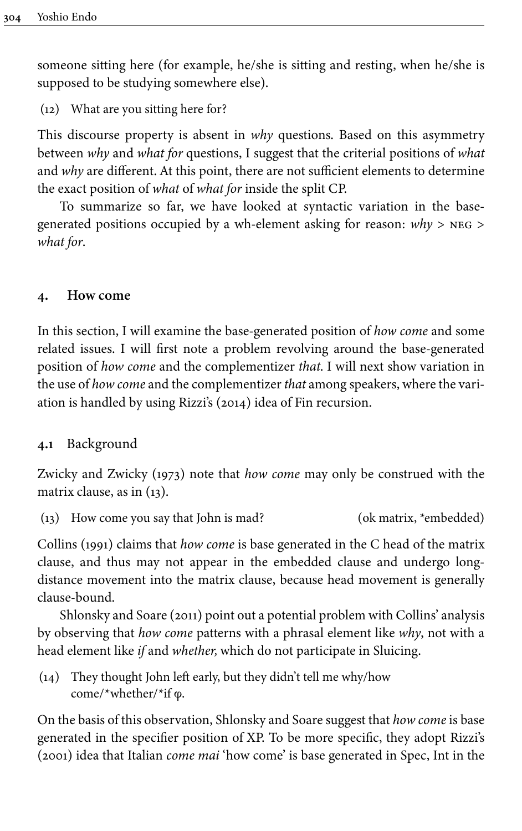someone sitting here (for example, he/she is sitting and resting, when he/she is supposed to be studying somewhere else).

<span id="page-5-0"></span>(12) What are you sitting here for?

This discourse property is absent in *why* questions. Based on this asymmetry between *why* and *what for* questions, I suggest that the criterial positions of *what* and *why* are different. At this point, there are not sufficient elements to determine the exact position of *what* of *what for* inside the split CP.

To summarize so far, we have looked at syntactic variation in the basegenerated positions occupied by a wh-element asking for reason: *why* > neg > *what for*.

## **4. How come**

In this section, I will examine the base-generated position of *how come* and some related issues. I will first note a problem revolving around the base-generated position of *how come* and the complementizer *that*. I will next show variation in the use of *how come* and the complementizer *that* among speakers, where the variation is handled by using [Rizzi's \(2014\)](#page-14-8) idea of Fin recursion.

## **4.1** Background

[Zwicky and Zwicky \(1973\)](#page-15-1) note that *how come* may only be construed with the matrix clause, as in [\(13](#page-5-1)).

<span id="page-5-1"></span>(13) How come you say that John is mad? (ok matrix, \*embedded)

[Collins \(1991\)](#page-13-1) claims that *how come* is base generated in the C head of the matrix clause, and thus may not appear in the embedded clause and undergo longdistance movement into the matrix clause, because head movement is generally clause-bound.

[Shlonsky and Soare \(2011\)](#page-14-2) point out a potential problem with Collins' analysis by observing that *how come* patterns with a phrasal element like *why*, not with a head element like *if* and *whether,* which do not participate in Sluicing.

(14) They thought John left early, but they didn't tell me why/how come/\*whether/\*if φ.

On the basis of this observation, Shlonsky and Soare suggest that *how come* is base generated in the specifier position of XP. To be more specific, they adopt [Rizzi's](#page-14-0) [\(2001\)](#page-14-0) idea that Italian *come mai* 'how come' is base generated in Spec, Int in the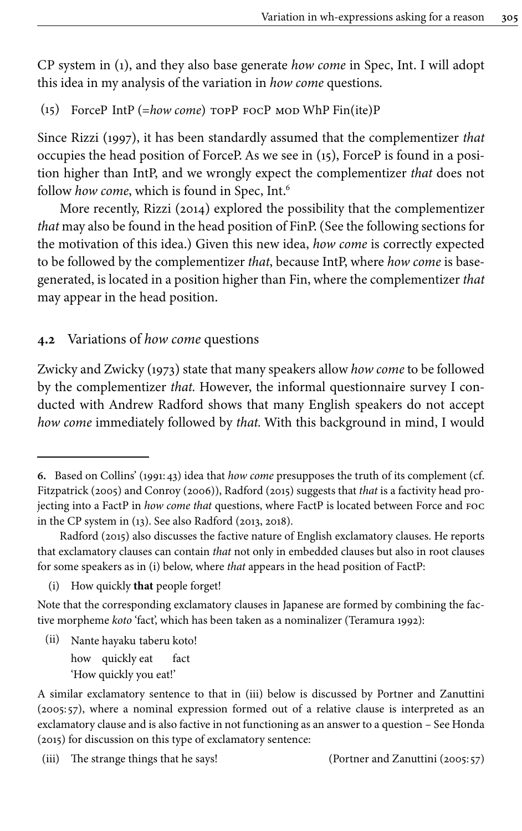CP system in ([1](#page-1-0)), and they also base generate *how come* in Spec, Int. I will adopt this idea in my analysis of the variation in *how come* questions.

<span id="page-6-0"></span>(15) ForceP IntP (=*how come*) topP focP mod WhP Fin(ite)P

Since Rizzi ([1997](#page-14-3)), it has been standardly assumed that the complementizer *that* occupies the head position of ForceP. As we see in [\(15\)](#page-6-0), ForceP is found in a position higher than IntP, and we wrongly expect the complementizer *that* does not follow *how come*, which is found in Spec, Int. 6

More recently, [Rizzi \(2014\)](#page-14-8) explored the possibility that the complementizer *that* may also be found in the head position of FinP. (See the following sections for the motivation of this idea.) Given this new idea, *how come* is correctly expected to be followed by the complementizer *that*, because IntP, where *how come* is basegenerated, is located in a position higher than Fin, where the complementizer *that* may appear in the head position.

## **4.2** Variations of *how come* questions

[Zwicky and Zwicky \(1973\)](#page-15-1) state that many speakers allow *how come* to be followed by the complementizer *that.* However, the informal questionnaire survey I conducted with Andrew Radford shows that many English speakers do not accept *how come* immediately followed by *that.* With this background in mind, I would

(ii) Nante hayaku taberu koto! how quickly eat fact 'How quickly you eat!'

**<sup>6.</sup>** Based on Collins' ([1991:](#page-13-1)43) idea that *how come* presupposes the truth of its complement (cf. [Fitzpatrick \(2005\)](#page-14-9) and [Conroy \(2006\)\)](#page-13-3), [Radford \(2015\)](#page-14-10) suggests that *that* is a factivity head projecting into a FactP in *how come that* questions, where FactP is located between Force and foc in the CP system in [\(13](#page-5-1)). See also Radford [\(2013,](#page-14-11) [2018\)](#page-14-12).

[Radford \(2015\)](#page-14-10) also discusses the factive nature of English exclamatory clauses. He reports that exclamatory clauses can contain *that* not only in embedded clauses but also in root clauses for some speakers as in (i) below, where *that* appears in the head position of FactP:

<sup>(</sup>i) How quickly **that** people forget!

Note that the corresponding exclamatory clauses in Japanese are formed by combining the factive morpheme *koto* 'fact', which has been taken as a nominalizer [\(Teramura 1992\)](#page-14-13):

A similar exclamatory sentence to that in (iii) below is discussed by Portner and Zanuttini [\(2005:](#page-14-14) 57), where a nominal expression formed out of a relative clause is interpreted as an exclamatory clause and is also factive in not functioning as an answer to a question – See [Honda](#page-14-15) [\(2015\)](#page-14-15) for discussion on this type of exclamatory sentence:

<sup>(</sup>iii) The strange things that he says! (Portner and Zanuttini [\(2005:](#page-14-14) 57)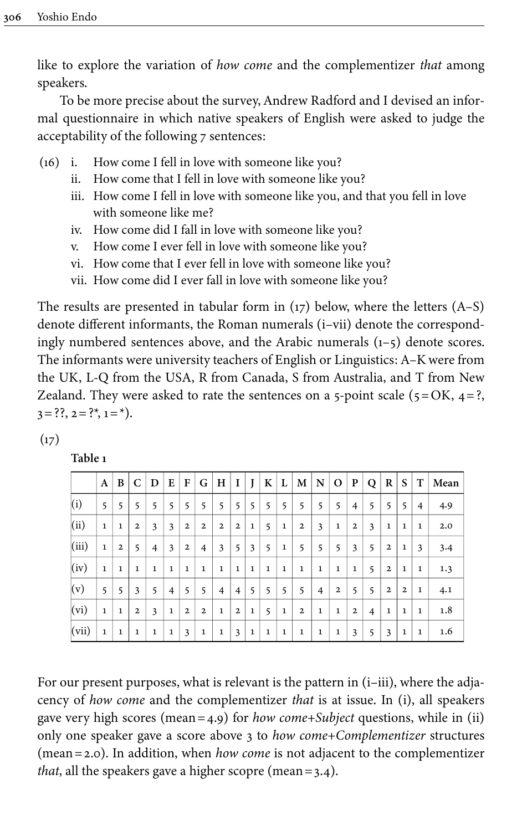like to explore the variation of *how come* and the complementizer *that* among speakers.

To be more precise about the survey, Andrew Radford and I devised an informal questionnaire in which native speakers of English were asked to judge the acceptability of the following 7 sentences:

- (16) i. How come I fell in love with someone like you?
	- ii. How come that I fell in love with someone like you?
	- iii. How come I fell in love with someone like you, and that you fell in love with someone like me?
	- iv. How come did I fall in love with someone like you?
	- v. How come I ever fell in love with someone like you?
	- vi. How come that I ever fell in love with someone like you?
	- vii. How come did I ever fall in love with someone like you?

The results are presented in tabular form in  $(17)$  $(17)$  below, where the letters  $(A-S)$ denote different informants, the Roman numerals (i–vii) denote the correspondingly numbered sentences above, and the Arabic numerals (1–5) denote scores. The informants were university teachers of English or Linguistics: A–K were from the UK, L-Q from the USA, R from Canada, S from Australia, and T from New Zealand. They were asked to rate the sentences on a 5-point scale  $(5=OK, 4=?,$  $3 = ??, 2 = ?*, 1 = *).$ 

<span id="page-7-0"></span>

| × |  |  |
|---|--|--|

**Table 1**

|       | A            | B               | C              | D              | E              | $\mathbf{F}$   | G              | H            | 1              | J            |   | K L          | M              |   | N   0        | P            | $\mathbf Q$    | R              | S              | T              | Mean |
|-------|--------------|-----------------|----------------|----------------|----------------|----------------|----------------|--------------|----------------|--------------|---|--------------|----------------|---|--------------|--------------|----------------|----------------|----------------|----------------|------|
| (i)   | 5            | 5               | 5              | 5              | 5              | 5              | 5              | 5            | 5              | 5            | 5 | 5            | 5              | 5 | 5            | 4            | 5              | 5              | 5              | $\overline{4}$ | 4.9  |
| (ii)  | 1            | 1               | $\overline{2}$ | 3              | 3              | $\mathbf{2}$   | $\overline{2}$ | $\mathbf{2}$ | $\overline{2}$ | 1            | 5 | 1            | $\mathbf{2}$   | 3 | 1            | $\mathbf{2}$ | 3              | 1              | 1              | 1              | 2.0  |
| (iii) | 1            | $\mathbf{2}$    | 5              | $\overline{4}$ | 3              | $\mathbf{2}$   | $\overline{4}$ | 3            | 5              | 3            | 5 | 1            | 5              | 5 | 5            | 3            | 5              | $\overline{2}$ | 1              | 3              | 3.4  |
| (iv)  | $\mathbf{1}$ | 1               | $\mathbf{1}$   | 1              | 1              | 1              | 1              | $\mathbf{1}$ | 1              | $\mathbf{1}$ | 1 | $\mathbf{1}$ | $\mathbf{1}$   | 1 | $\mathbf{1}$ | $\mathbf{1}$ | 5              | $\mathbf{2}$   | 1              | 1              | 1.3  |
| (v)   | 5            | $5\overline{5}$ | 3              | 5              | $\overline{4}$ | 5              | 5              | 4            | $\overline{4}$ | 5            | 5 | 5            | 5              | 4 | 2            | 5            | 5              | $\overline{2}$ | $\overline{2}$ | 1              | 4.1  |
| (vi)  | $\mathbf{1}$ | 1               | $\overline{2}$ | 3              | 1              | $\overline{2}$ | $\overline{2}$ | $\mathbf{1}$ | $\overline{2}$ | 1            | 5 | 1            | $\overline{2}$ | 1 | 1            | $\mathbf{2}$ | $\overline{4}$ | 1              | 1              | 1              | 1.8  |
| (vii) | $\mathbf 1$  | 1               | 1              | 1              | $\mathbf{1}$   | 3              | 1              | $\mathbf{1}$ | 3              | $\mathbf{1}$ | 1 | $\mathbf{1}$ | $\mathbf{1}$   | 1 | 1            | 3            | 5              | 3              | 1              | 1              | 1.6  |

For our present purposes, what is relevant is the pattern in  $(i-iii)$ , where the adjacency of *how come* and the complementizer *that* is at issue. In (i), all speakers gave very high scores (mean=4.9) for *how come+Subject* questions, while in (ii) only one speaker gave a score above 3 to *how come+Complementizer* structures (mean=2.0). In addition, when *how come* is not adjacent to the complementizer *that*, all the speakers gave a higher scopre (mean=3.4).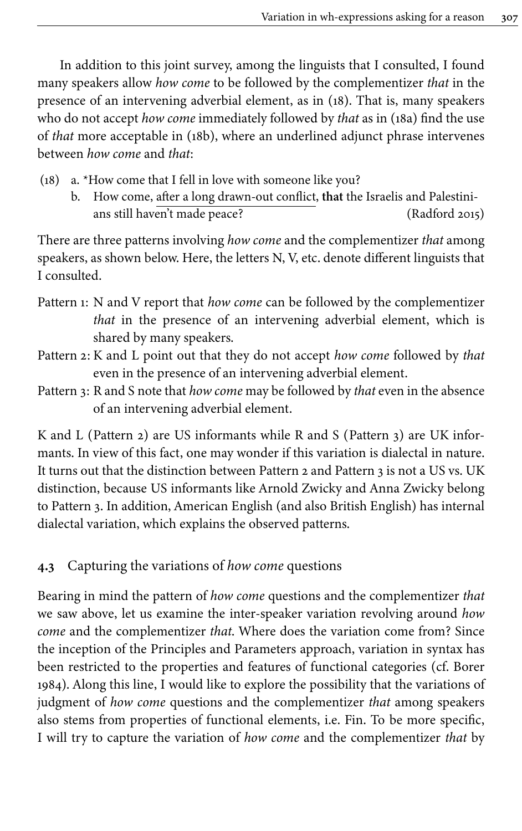In addition to this joint survey, among the linguists that I consulted, I found many speakers allow *how come* to be followed by the complementizer *that* in the presence of an intervening adverbial element, as in [\(18\)](#page-8-0). That is, many speakers who do not accept *how come* immediately followed by *that* as in ([18a\)](#page-8-0) find the use of *that* more acceptable in ([18b\)](#page-8-0), where an underlined adjunct phrase intervenes between *how come* and *that*:

- <span id="page-8-0"></span>(18) a. \*How come that I fell in love with someone like you?
	- b. How come, after a long drawn-out conflict, **that** the Israelis and Palestinians still haven't made peace? ([Radford 2015\)](#page-14-10)

There are three patterns involving *how come* and the complementizer *that* among speakers, as shown below. Here, the letters N, V, etc. denote different linguists that I consulted.

- Pattern 1: N and V report that *how come* can be followed by the complementizer *that* in the presence of an intervening adverbial element, which is shared by many speakers.
- Pattern 2: K and L point out that they do not accept *how come* followed by *that* even in the presence of an intervening adverbial element.
- Pattern 3: R and S note that *how come* may be followed by *that* even in the absence of an intervening adverbial element.

K and L (Pattern 2) are US informants while R and S (Pattern 3) are UK informants. In view of this fact, one may wonder if this variation is dialectal in nature. It turns out that the distinction between Pattern 2 and Pattern 3 is not a US vs. UK distinction, because US informants like Arnold Zwicky and Anna Zwicky belong to Pattern 3. In addition, American English (and also British English) has internal dialectal variation, which explains the observed patterns.

## **4.3** Capturing the variations of *how come* questions

Bearing in mind the pattern of *how come* questions and the complementizer *that* we saw above, let us examine the inter-speaker variation revolving around *how come* and the complementizer *that*. Where does the variation come from? Since the inception of the Principles and Parameters approach, variation in syntax has been restricted to the properties and features of functional categories (cf. [Borer](#page-13-4) [1984\)](#page-13-4). Along this line, I would like to explore the possibility that the variations of judgment of *how come* questions and the complementizer *that* among speakers also stems from properties of functional elements, i.e. Fin. To be more specific, I will try to capture the variation of *how come* and the complementizer *that* by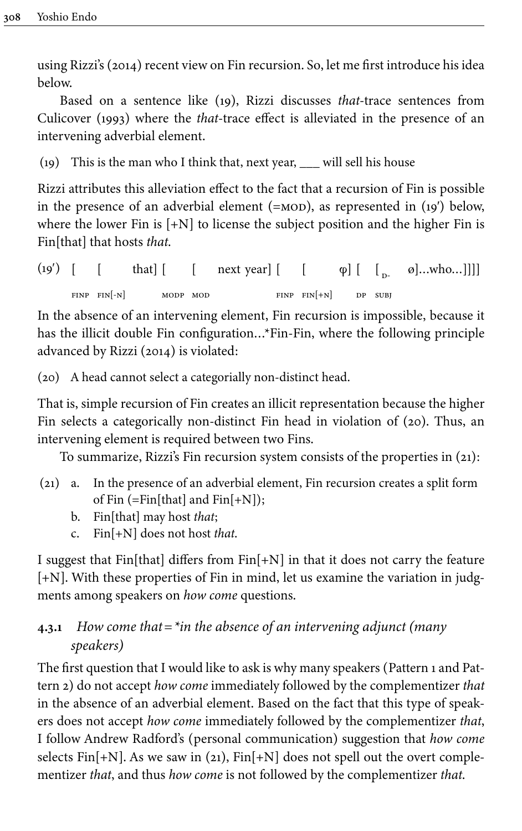using [Rizzi's \(2014\)](#page-14-8) recent view on Fin recursion. So, let me first introduce his idea below.

Based on a sentence like [\(19\)](#page-9-0), Rizzi discusses *that*-trace sentences from [Culicover \(1993\)](#page-14-16) where the *that*-trace effect is alleviated in the presence of an intervening adverbial element.

<span id="page-9-0"></span>(19) This is the man who I think that, next year, \_\_\_ will sell his house

Rizzi attributes this alleviation effect to the fact that a recursion of Fin is possible in the presence of an adverbial element (= $MOD$ ), as represented in (19<sup>'</sup>) below, where the lower Fin is  $[+N]$  to license the subject position and the higher Fin is Fin[that] that hosts *that*.

 $(19')$  [  $FIMP$   $FIN[-N]$  $\mathbf{I}$ that] [ modp mod  $\lceil$ next year] [ [ FINP FIN $[+N]$  $\varphi$ ] [  $\begin{bmatrix} 0 & \varphi & \varphi \\ 0 & \varphi & \varphi \end{bmatrix}$  ...who... dp subj

In the absence of an intervening element, Fin recursion is impossible, because it has the illicit double Fin configuration…\*Fin-Fin, where the following principle advanced by [Rizzi \(2014\)](#page-14-8) is violated:

<span id="page-9-1"></span>(20) A head cannot select a categorially non-distinct head.

That is, simple recursion of Fin creates an illicit representation because the higher Fin selects a categorically non-distinct Fin head in violation of [\(20](#page-9-1)). Thus, an intervening element is required between two Fins.

To summarize, Rizzi's Fin recursion system consists of the properties in [\(21\)](#page-9-2):

- <span id="page-9-2"></span>(21) a. In the presence of an adverbial element, Fin recursion creates a split form of Fin  $(=\text{Fin}[\text{that}]$  and  $\text{Fin}[+N])$ ;
	- b. Fin[that] may host *that*;
	- c. Fin[+N] does not host *that*.

I suggest that Fin[that] differs from  $Fin[+N]$  in that it does not carry the feature [+N]. With these properties of Fin in mind, let us examine the variation in judgments among speakers on *how come* questions.

# **4.3.1** *How come that=\*in the absence of an intervening adjunct (many speakers)*

The first question that I would like to ask is why many speakers (Pattern 1 and Pattern 2) do not accept *how come* immediately followed by the complementizer *that* in the absence of an adverbial element. Based on the fact that this type of speakers does not accept *how come* immediately followed by the complementizer *that*, I follow Andrew Radford's (personal communication) suggestion that *how come* selects Fin $[+N]$ . As we saw in ([21](#page-9-2)),  $Fin[+N]$  does not spell out the overt complementizer *that*, and thus *how come* is not followed by the complementizer *that*.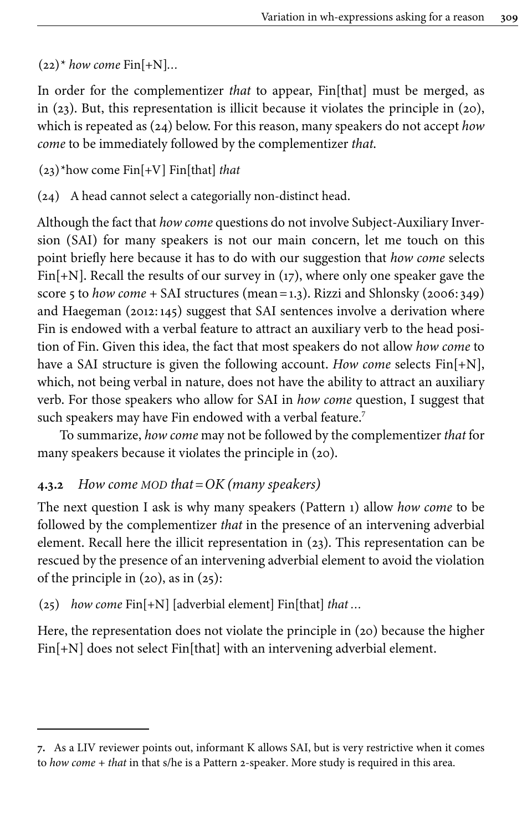$(22)^*$  *how come* Fin $[+N]...$ 

In order for the complementizer *that* to appear, Fin[that] must be merged, as in ([23\)](#page-10-0). But, this representation is illicit because it violates the principle in [\(20](#page-9-1)), which is repeated as ([24\)](#page-10-1) below. For this reason, many speakers do not accept *how come* to be immediately followed by the complementizer *that*.

<span id="page-10-0"></span>(23)\*how come Fin[+V] Fin[that] *that*

<span id="page-10-1"></span>(24) A head cannot select a categorially non-distinct head.

Although the fact that *how come* questions do not involve Subject-Auxiliary Inversion (SAI) for many speakers is not our main concern, let me touch on this point briefly here because it has to do with our suggestion that *how come* selects Fin $[+N]$ . Recall the results of our survey in ([17\)](#page-7-0), where only one speaker gave the score 5 to *how come +* SAI structures (mean=1.3). Rizzi and Shlonsky ([2006:](#page-14-17) 349) and Haegeman [\(2012](#page-14-18):145) suggest that SAI sentences involve a derivation where Fin is endowed with a verbal feature to attract an auxiliary verb to the head position of Fin. Given this idea, the fact that most speakers do not allow *how come* to have a SAI structure is given the following account. *How come* selects Fin[+N], which, not being verbal in nature, does not have the ability to attract an auxiliary verb. For those speakers who allow for SAI in *how come* question, I suggest that such speakers may have Fin endowed with a verbal feature. 7

To summarize, *how come* may not be followed by the complementizer *that* for many speakers because it violates the principle in ([20\)](#page-9-1).

## **4.3.2** *How come MOD that=OK (many speakers)*

The next question I ask is why many speakers (Pattern 1) allow *how come* to be followed by the complementizer *that* in the presence of an intervening adverbial element. Recall here the illicit representation in [\(23](#page-10-0)). This representation can be rescued by the presence of an intervening adverbial element to avoid the violation of the principle in  $(20)$  $(20)$ , as in  $(25)$  $(25)$ :

<span id="page-10-2"></span>(25) *how come* Fin[+N] [adverbial element] Fin[that] *that …*

Here, the representation does not violate the principle in ([20\)](#page-9-1) because the higher Fin[+N] does not select Fin[that] with an intervening adverbial element.

**<sup>7.</sup>** As a LIV reviewer points out, informant K allows SAI, but is very restrictive when it comes to *how come + that* in that s/he is a Pattern 2-speaker. More study is required in this area.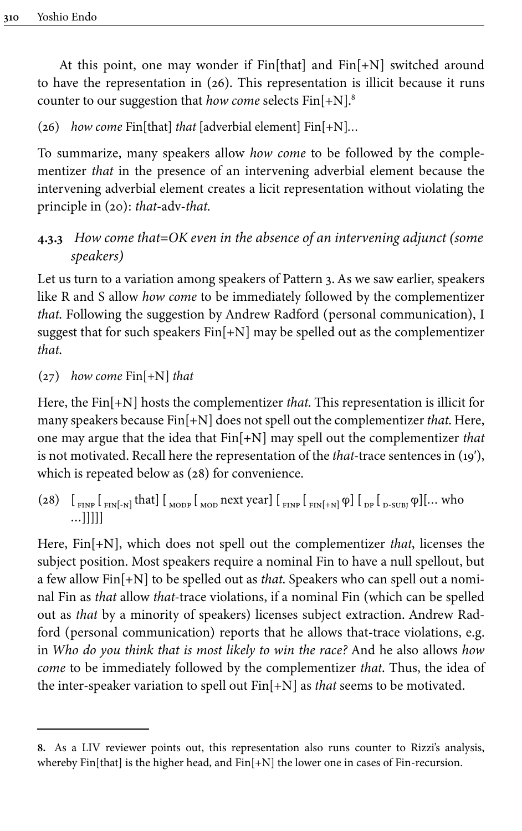At this point, one may wonder if  $Fin[that]$  and  $Fin[+N]$  switched around to have the representation in ([26\)](#page-11-0). This representation is illicit because it runs counter to our suggestion that *how come* selects Fin[+N].<sup>8</sup>

<span id="page-11-0"></span>(26) *how come* Fin[that] *that* [adverbial element] Fin[+N]*…*

To summarize, many speakers allow *how come* to be followed by the complementizer *that* in the presence of an intervening adverbial element because the intervening adverbial element creates a licit representation without violating the principle in [\(20\)](#page-9-1): *that*-adv-*that*.

# **4.3.3** *How come that=OK even in the absence of an intervening adjunct (some speakers)*

Let us turn to a variation among speakers of Pattern 3. As we saw earlier, speakers like R and S allow *how come* to be immediately followed by the complementizer *that*. Following the suggestion by Andrew Radford (personal communication), I suggest that for such speakers Fin[+N] may be spelled out as the complementizer *that*.

### (27) *how come* Fin[+N] *that*

Here, the Fin[+N] hosts the complementizer *that*. This representation is illicit for many speakers because Fin[+N] does not spell out the complementizer *that*. Here, one may argue that the idea that Fin[+N] may spell out the complementizer *that* is not motivated. Recall here the representation of the *that*-trace sentences in [\(19′](#page-9-0)), which is repeated below as  $(28)$  for convenience.

<span id="page-11-1"></span>(28)  $\left[\begin{smallmatrix} 1 & 0 \end{smallmatrix}\right]$   $\left[\begin{smallmatrix} 1 & 0 \end{smallmatrix}\right]$   $\left[\begin{smallmatrix} 1 & 0 \end{smallmatrix}\right]$   $\left[\begin{smallmatrix} 0 & 0 \end{smallmatrix}\right]$   $\left[\begin{smallmatrix} 0 & 0 \end{smallmatrix}\right]$   $\left[\begin{smallmatrix} 0 & 0 \end{smallmatrix}\right]$   $\left[\begin{smallmatrix} 0 & 0 \end{smallmatrix}\right]$   $\left[\begin{smallmatrix} 0 & 0 \end{smallmatrix}\right]$   $\left[\begin{smallmatrix} 0 & 0 \end{smallmatrix}\right]$  …]]]]]

Here, Fin[+N], which does not spell out the complementizer *that*, licenses the subject position. Most speakers require a nominal Fin to have a null spellout, but a few allow Fin[+N] to be spelled out as *that*. Speakers who can spell out a nominal Fin as *that* allow *that*-trace violations, if a nominal Fin (which can be spelled out as *that* by a minority of speakers) licenses subject extraction. Andrew Radford (personal communication) reports that he allows that-trace violations, e.g. in *Who do you think that is most likely to win the race?* And he also allows *how come* to be immediately followed by the complementizer *that*. Thus, the idea of the inter-speaker variation to spell out Fin[+N] as *that* seems to be motivated.

**<sup>8.</sup>** As a LIV reviewer points out, this representation also runs counter to Rizzi's analysis, whereby Fin[that] is the higher head, and Fin[+N] the lower one in cases of Fin-recursion.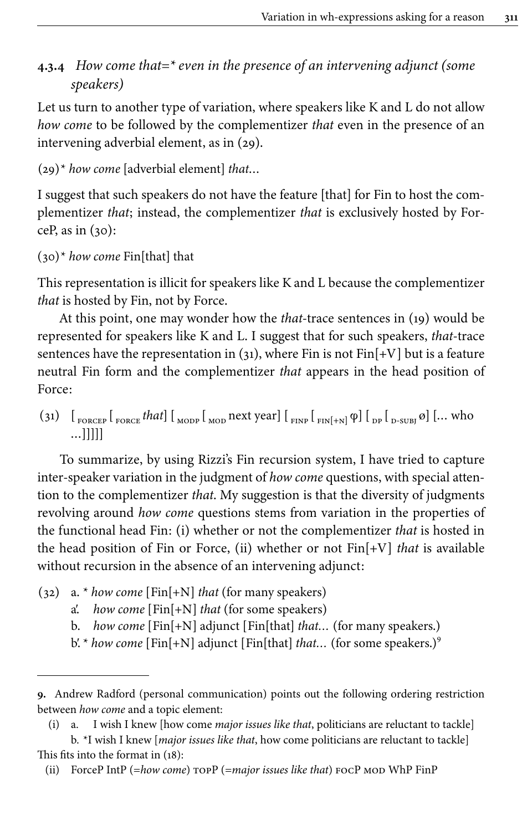# **4.3.4** *How come that=\* even in the presence of an intervening adjunct (some speakers)*

Let us turn to another type of variation, where speakers like K and L do not allow *how come* to be followed by the complementizer *that* even in the presence of an intervening adverbial element, as in [\(29](#page-12-0)).

```
(29)* how come [adverbial element] that…
```
I suggest that such speakers do not have the feature [that] for Fin to host the complementizer *that*; instead, the complementizer *that* is exclusively hosted by ForceP, as in  $(30)$ :

```
(30)* how come Fin[that] that
```
This representation is illicit for speakers like K and L because the complementizer *that* is hosted by Fin, not by Force.

At this point, one may wonder how the *that*-trace sentences in ([19](#page-9-0)) would be represented for speakers like K and L. I suggest that for such speakers, *that*-trace sentences have the representation in [\(31](#page-12-2)), where Fin is not Fin[+V] but is a feature neutral Fin form and the complementizer *that* appears in the head position of Force:

<span id="page-12-2"></span>(31)  $\left[\begin{array}{cc} 1_{\text{FORCEP}} \end{array}\right]$  <sub>FORCE</sub> that  $\left[\begin{array}{cc} 1_{\text{MODP}} \end{array}\right]$   $\left[\begin{array}{c} 1_{\text{END}} \end{array}\right]$   $\left[\begin{array}{cc} 1_{\text{END}} \end{array}\right]$   $\left[\begin{array}{cc} 1_{\text{D}} \end{array}\right]$   $\left[\begin{array}{cc} 0_{\text{D}} \end{array}\right]$   $\left[\begin{array}{cc} 0_{\text{D}} \end{array}\right]$   $\left[\begin{array}{cc}$  $...$ ]]]]]

To summarize, by using Rizzi's Fin recursion system, I have tried to capture inter-speaker variation in the judgment of *how come* questions, with special attention to the complementizer *that*. My suggestion is that the diversity of judgments revolving around *how come* questions stems from variation in the properties of the functional head Fin: (i) whether or not the complementizer *that* is hosted in the head position of Fin or Force, (ii) whether or not Fin[+V] *that* is available without recursion in the absence of an intervening adjunct:

- (32) a. \* *how come* [Fin[+N] *that* (for many speakers)
	- a′. *how come* [Fin[+N] *that* (for some speakers)
	- b. *how come* [Fin[+N] adjunct [Fin[that] *that…* (for many speakers.)
	- b'. \* *how come* [Fin[+N] adjunct [Fin[that] *that*... (for some speakers.)<sup>9</sup>

**<sup>9.</sup>** Andrew Radford (personal communication) points out the following ordering restriction between *how come* and a topic element:

<sup>(</sup>i) a. I wish I knew [how come *major issues like that*, politicians are reluctant to tackle]

b. \*I wish I knew [*major issues like that*, how come politicians are reluctant to tackle] This fits into the format in [\(18\)](#page-8-0):

<sup>(</sup>ii) ForceP IntP (=*how come*) topP (=*major issues like that*) focP mod WhP FinP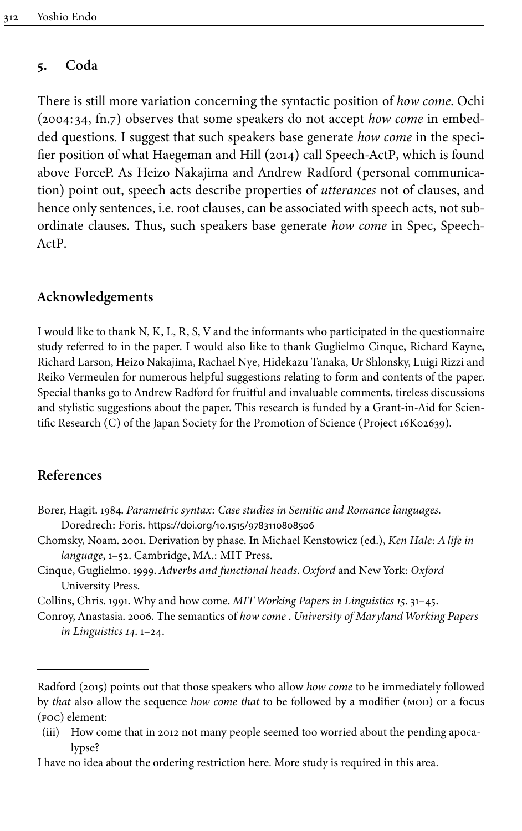### **5. Coda**

There is still more variation concerning the syntactic position of *how come*. Ochi [\(2004:](#page-14-7) 34, fn.7) observes that some speakers do not accept *how come* in embedded questions. I suggest that such speakers base generate *how come* in the specifier position of what [Haegeman and Hill \(2014\)](#page-14-19) call Speech-ActP, which is found above ForceP. As Heizo Nakajima and Andrew Radford (personal communication) point out, speech acts describe properties of *utterances* not of clauses, and hence only sentences, i.e. root clauses, can be associated with speech acts, not subordinate clauses. Thus, such speakers base generate *how come* in Spec, Speech-ActP.

#### **Acknowledgements**

I would like to thank N, K, L, R, S, V and the informants who participated in the questionnaire study referred to in the paper. I would also like to thank Guglielmo Cinque, Richard Kayne, Richard Larson, Heizo Nakajima, Rachael Nye, Hidekazu Tanaka, Ur Shlonsky, Luigi Rizzi and Reiko Vermeulen for numerous helpful suggestions relating to form and contents of the paper. Special thanks go to Andrew Radford for fruitful and invaluable comments, tireless discussions and stylistic suggestions about the paper. This research is funded by a Grant-in-Aid for Scientific Research (C) of the Japan Society for the Promotion of Science (Project 16K02639).

## **References**

- <span id="page-13-4"></span>Borer, Hagit. 1984. *Parametric syntax: Case studies in Semitic and Romance languages*. Doredrech: Foris. [https://doi.org/10.1515/9783110808506](https://doi.org/10.1515%2F9783110808506)
- <span id="page-13-0"></span>Chomsky, Noam. 2001. Derivation by phase. In Michael Kenstowicz (ed.), *Ken Hale: A life in language*, 1–52. Cambridge, MA.: MIT Press.
- <span id="page-13-2"></span>Cinque, Guglielmo. 1999. *Adverbs and functional heads*. *Oxford* and New York: *Oxford* University Press.

<span id="page-13-1"></span>Collins, Chris. 1991. Why and how come. *MIT Working Papers in Linguistics 15*. 31–45.

<span id="page-13-3"></span>Conroy, Anastasia. 2006. The semantics of *how come* . *University of Maryland Working Papers in Linguistics 14*. 1–24.

[Radford \(2015\)](#page-14-10) points out that those speakers who allow *how come* to be immediately followed by *that* also allow the sequence *how come that* to be followed by a modifier (MOD) or a focus (foc) element:

<sup>(</sup>iii) How come that in 2012 not many people seemed too worried about the pending apocalypse?

I have no idea about the ordering restriction here. More study is required in this area.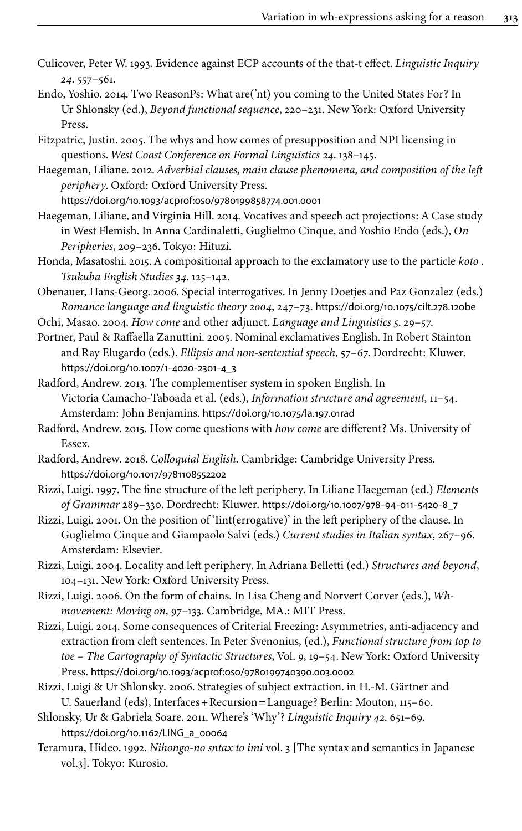- <span id="page-14-16"></span>Culicover, Peter W. 1993. Evidence against ECP accounts of the that-t effect. *Linguistic Inquiry 24*. 557–561.
- <span id="page-14-6"></span>Endo, Yoshio. 2014. Two ReasonPs: What are('nt) you coming to the United States For? In Ur Shlonsky (ed.), *Beyond functional sequence*, 220–231. New York: Oxford University Press.
- <span id="page-14-9"></span>Fitzpatric, Justin. 2005. The whys and how comes of presupposition and NPI licensing in questions. *West Coast Conference on Formal Linguistics 24*. 138–145.
- <span id="page-14-18"></span>Haegeman, Liliane. 2012. *Adverbial clauses, main clause phenomena, and composition of the left periphery*. Oxford: Oxford University Press.

[https://doi.org/10.1093/acprof:oso/9780199858774.001.0001](https://doi.org/10.1093%2Facprof%3Aoso%2F9780199858774.001.0001)

- <span id="page-14-19"></span>Haegeman, Liliane, and Virginia Hill. 2014. Vocatives and speech act projections: A Case study in West Flemish. In Anna Cardinaletti, Guglielmo Cinque, and Yoshio Endo (eds.), *On Peripheries*, 209–236. Tokyo: Hituzi.
- <span id="page-14-15"></span>Honda, Masatoshi. 2015. A compositional approach to the exclamatory use to the particle *koto* . *Tsukuba English Studies 34*. 125–142.
- <span id="page-14-5"></span>Obenauer, Hans-Georg. 2006. Special interrogatives. In Jenny Doetjes and Paz Gonzalez (eds.) *Romance language and linguistic theory 2004*, 247–73. [https://doi.org/10.1075/cilt.278.12obe](https://doi.org/10.1075%2Fcilt.278.12obe)

<span id="page-14-7"></span>Ochi, Masao. 2004. *How come* and other adjunct. *Language and Linguistics 5*. 29–57.

- <span id="page-14-14"></span>Portner, Paul & Raffaella Zanuttini. 2005. Nominal exclamatives English. In Robert Stainton and Ray Elugardo (eds.). *Ellipsis and non-sentential speech*, 57–67. Dordrecht: Kluwer. [https://doi.org/10.1007/1](https://doi.org/10.1007%2F1-4020-2301-4_3)‑4020‑2301‑4\_3
- <span id="page-14-11"></span>Radford, Andrew. 2013. The complementiser system in spoken English. In Victoria Camacho-Taboada et al. (eds.), *Information structure and agreement*, 11–54. Amsterdam: John Benjamins. [https://doi.org/10.1075/la.197.01rad](https://doi.org/10.1075%2Fla.197.01rad)
- <span id="page-14-10"></span>Radford, Andrew. 2015. How come questions with *how come* are different? Ms. University of Essex.
- <span id="page-14-12"></span>Radford, Andrew. 2018. *Colloquial English*. Cambridge: Cambridge University Press. [https://doi.org/10.1017/9781108552202](https://doi.org/10.1017%2F9781108552202)
- <span id="page-14-3"></span>Rizzi, Luigi. 1997. The fine structure of the left periphery. In Liliane Haegeman (ed.) *Elements of Grammar* 289–330. Dordrecht: Kluwer. [https://doi.org/10.1007/978](https://doi.org/10.1007%2F978-94-011-5420-8_7)‑94‑011‑5420‑8\_7
- <span id="page-14-0"></span>Rizzi, Luigi. 2001. On the position of 'Iint(errogative)' in the left periphery of the clause. In Guglielmo Cinque and Giampaolo Salvi (eds.) *Current studies in Italian syntax*, 267–96. Amsterdam: Elsevier.
- <span id="page-14-1"></span>Rizzi, Luigi. 2004. Locality and left periphery. In Adriana Belletti (ed.) *Structures and beyond*, 104–131. New York: Oxford University Press.
- <span id="page-14-4"></span>Rizzi, Luigi. 2006. On the form of chains. In Lisa Cheng and Norvert Corver (eds.), *Whmovement: Moving on*, 97–133. Cambridge, MA.: MIT Press.
- <span id="page-14-8"></span>Rizzi, Luigi. 2014. Some consequences of Criterial Freezing: Asymmetries, anti-adjacency and extraction from cleft sentences. In Peter Svenonius, (ed.), *Functional structure from top to toe – The Cartography of Syntactic Structures*, Vol. *9*, 19–54. New York: Oxford University Press. [https://doi.org/10.1093/acprof:oso/9780199740390.003.0002](https://doi.org/10.1093%2Facprof%3Aoso%2F9780199740390.003.0002)
- <span id="page-14-17"></span>Rizzi, Luigi & Ur Shlonsky. 2006. Strategies of subject extraction. in H.-M. Gärtner and U. Sauerland (eds), Interfaces+Recursion=Language? Berlin: Mouton, 115–60.
- <span id="page-14-2"></span>Shlonsky, Ur & Gabriela Soare. 2011. Where's 'Why'? *Linguistic Inquiry 42*. 651–69. [https://doi.org/10.1162/LING\\_a\\_00064](https://doi.org/10.1162%2FLING_a_00064)
- <span id="page-14-13"></span>Teramura, Hideo. 1992. *Nihongo-no sntax to imi* vol. 3 [The syntax and semantics in Japanese vol.3]. Tokyo: Kurosio.